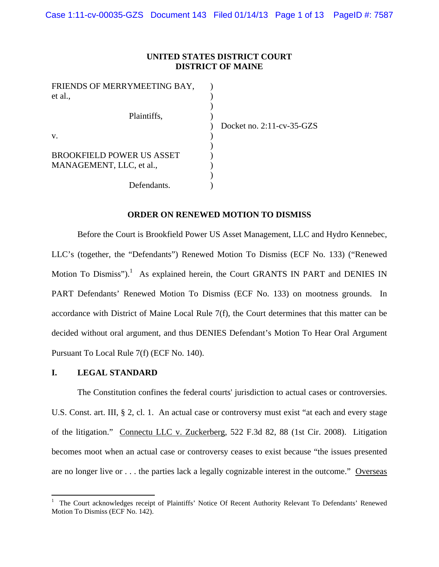## **UNITED STATES DISTRICT COURT DISTRICT OF MAINE**

| FRIENDS OF MERRYMEETING BAY,     |                              |
|----------------------------------|------------------------------|
| et al.,                          |                              |
|                                  |                              |
| Plaintiffs,                      |                              |
|                                  | Docket no. $2:11$ -cv-35-GZS |
| V.                               |                              |
|                                  |                              |
| <b>BROOKFIELD POWER US ASSET</b> |                              |
| MANAGEMENT, LLC, et al.,         |                              |
|                                  |                              |
| Defendants.                      |                              |

#### **ORDER ON RENEWED MOTION TO DISMISS**

Before the Court is Brookfield Power US Asset Management, LLC and Hydro Kennebec, LLC's (together, the "Defendants") Renewed Motion To Dismiss (ECF No. 133) ("Renewed Motion To Dismiss").<sup>1</sup> As explained herein, the Court GRANTS IN PART and DENIES IN PART Defendants' Renewed Motion To Dismiss (ECF No. 133) on mootness grounds. In accordance with District of Maine Local Rule 7(f), the Court determines that this matter can be decided without oral argument, and thus DENIES Defendant's Motion To Hear Oral Argument Pursuant To Local Rule 7(f) (ECF No. 140).

#### **I. LEGAL STANDARD**

The Constitution confines the federal courts' jurisdiction to actual cases or controversies. U.S. Const. art. III, § 2, cl. 1. An actual case or controversy must exist "at each and every stage of the litigation." Connectu LLC v. Zuckerberg*,* 522 F.3d 82, 88 (1st Cir. 2008). Litigation becomes moot when an actual case or controversy ceases to exist because "the issues presented are no longer live or . . . the parties lack a legally cognizable interest in the outcome." Overseas

<sup>1</sup> The Court acknowledges receipt of Plaintiffs' Notice Of Recent Authority Relevant To Defendants' Renewed Motion To Dismiss (ECF No. 142).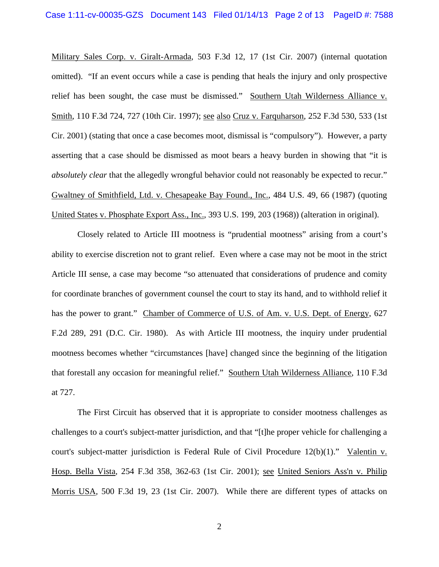Military Sales Corp. v. Giralt-Armada*,* 503 F.3d 12, 17 (1st Cir. 2007) (internal quotation omitted). "If an event occurs while a case is pending that heals the injury and only prospective relief has been sought, the case must be dismissed." Southern Utah Wilderness Alliance v. Smith, 110 F.3d 724, 727 (10th Cir. 1997); see also Cruz v. Farquharson*,* 252 F.3d 530, 533 (1st Cir. 2001) (stating that once a case becomes moot, dismissal is "compulsory"). However, a party asserting that a case should be dismissed as moot bears a heavy burden in showing that "it is *absolutely clear* that the allegedly wrongful behavior could not reasonably be expected to recur." Gwaltney of Smithfield, Ltd. v. Chesapeake Bay Found., Inc., 484 U.S. 49, 66 (1987) (quoting United States v. Phosphate Export Ass., Inc., 393 U.S. 199, 203 (1968)) (alteration in original).

Closely related to Article III mootness is "prudential mootness" arising from a court's ability to exercise discretion not to grant relief. Even where a case may not be moot in the strict Article III sense, a case may become "so attenuated that considerations of prudence and comity for coordinate branches of government counsel the court to stay its hand, and to withhold relief it has the power to grant." Chamber of Commerce of U.S. of Am. v. U.S. Dept. of Energy, 627 F.2d 289, 291 (D.C. Cir. 1980). As with Article III mootness, the inquiry under prudential mootness becomes whether "circumstances [have] changed since the beginning of the litigation that forestall any occasion for meaningful relief." Southern Utah Wilderness Alliance, 110 F.3d at 727.

The First Circuit has observed that it is appropriate to consider mootness challenges as challenges to a court's subject-matter jurisdiction, and that "[t]he proper vehicle for challenging a court's subject-matter jurisdiction is Federal Rule of Civil Procedure 12(b)(1)." Valentin v. Hosp. Bella Vista*,* 254 F.3d 358, 362-63 (1st Cir. 2001); see United Seniors Ass'n v. Philip Morris USA*,* 500 F.3d 19, 23 (1st Cir. 2007). While there are different types of attacks on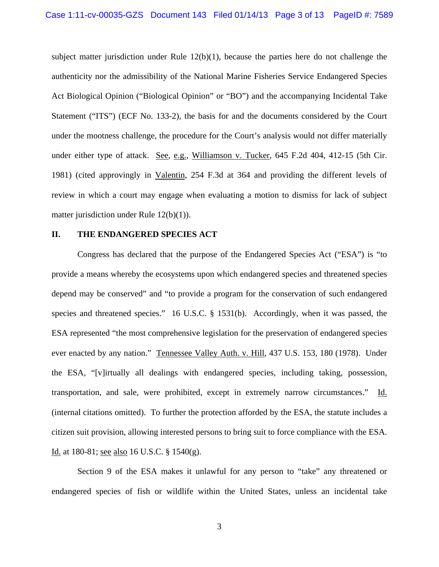subject matter jurisdiction under Rule  $12(b)(1)$ , because the parties here do not challenge the authenticity nor the admissibility of the National Marine Fisheries Service Endangered Species Act Biological Opinion ("Biological Opinion" or "BO") and the accompanying Incidental Take Statement ("ITS") (ECF No. 133-2), the basis for and the documents considered by the Court under the mootness challenge, the procedure for the Court's analysis would not differ materially under either type of attack. See, e.g., Williamson v. Tucker, 645 F.2d 404, 412-15 (5th Cir. 1981) (cited approvingly in Valentin, 254 F.3d at 364 and providing the different levels of review in which a court may engage when evaluating a motion to dismiss for lack of subject matter jurisdiction under Rule 12(b)(1)).

## **II. THE ENDANGERED SPECIES ACT**

 Congress has declared that the purpose of the Endangered Species Act ("ESA") is "to provide a means whereby the ecosystems upon which endangered species and threatened species depend may be conserved" and "to provide a program for the conservation of such endangered species and threatened species." 16 U.S.C. § 1531(b). Accordingly, when it was passed, the ESA represented "the most comprehensive legislation for the preservation of endangered species ever enacted by any nation." Tennessee Valley Auth. v. Hill, 437 U.S. 153, 180 (1978). Under the ESA, "[v]irtually all dealings with endangered species, including taking, possession, transportation, and sale, were prohibited, except in extremely narrow circumstances." Id. (internal citations omitted). To further the protection afforded by the ESA, the statute includes a citizen suit provision, allowing interested persons to bring suit to force compliance with the ESA. Id. at 180-81; see also 16 U.S.C. § 1540(g).

 Section 9 of the ESA makes it unlawful for any person to "take" any threatened or endangered species of fish or wildlife within the United States, unless an incidental take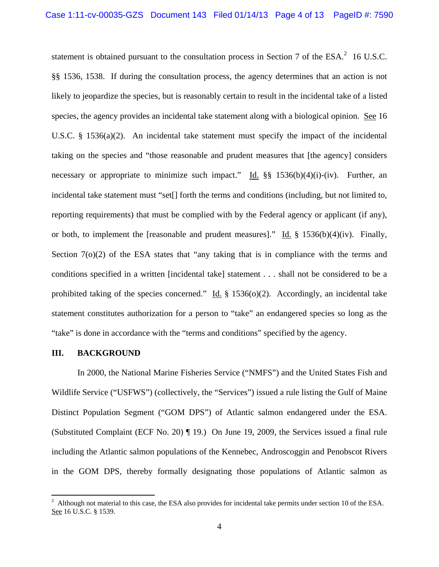statement is obtained pursuant to the consultation process in Section 7 of the  $ESA^2$  16 U.S.C. §§ 1536, 1538. If during the consultation process, the agency determines that an action is not likely to jeopardize the species, but is reasonably certain to result in the incidental take of a listed species, the agency provides an incidental take statement along with a biological opinion. See 16 U.S.C.  $\S$  1536(a)(2). An incidental take statement must specify the impact of the incidental taking on the species and "those reasonable and prudent measures that [the agency] considers necessary or appropriate to minimize such impact." Id. §§ 1536(b)(4)(i)-(iv). Further, an incidental take statement must "set[] forth the terms and conditions (including, but not limited to, reporting requirements) that must be complied with by the Federal agency or applicant (if any), or both, to implement the [reasonable and prudent measures]." Id.  $\S$  1536(b)(4)(iv). Finally, Section  $7<sub>0</sub>(2)$  of the ESA states that "any taking that is in compliance with the terms and conditions specified in a written [incidental take] statement . . . shall not be considered to be a prohibited taking of the species concerned." Id.  $\S$  1536(o)(2). Accordingly, an incidental take statement constitutes authorization for a person to "take" an endangered species so long as the "take" is done in accordance with the "terms and conditions" specified by the agency.

#### **III. BACKGROUND**

In 2000, the National Marine Fisheries Service ("NMFS") and the United States Fish and Wildlife Service ("USFWS") (collectively, the "Services") issued a rule listing the Gulf of Maine Distinct Population Segment ("GOM DPS") of Atlantic salmon endangered under the ESA. (Substituted Complaint (ECF No. 20) ¶ 19.) On June 19, 2009, the Services issued a final rule including the Atlantic salmon populations of the Kennebec, Androscoggin and Penobscot Rivers in the GOM DPS, thereby formally designating those populations of Atlantic salmon as

<sup>2</sup> Although not material to this case, the ESA also provides for incidental take permits under section 10 of the ESA. See 16 U.S.C. § 1539.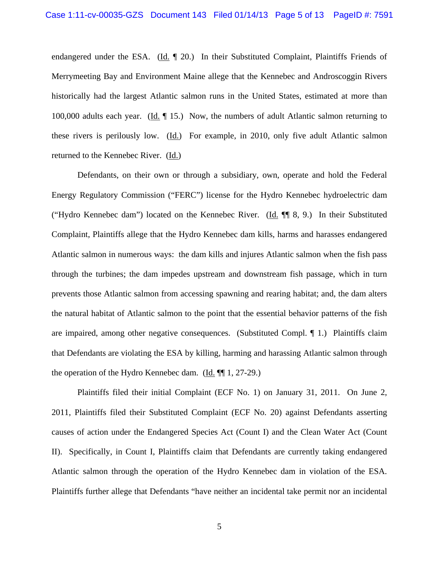endangered under the ESA. (Id. ¶ 20.) In their Substituted Complaint, Plaintiffs Friends of Merrymeeting Bay and Environment Maine allege that the Kennebec and Androscoggin Rivers historically had the largest Atlantic salmon runs in the United States, estimated at more than 100,000 adults each year. (Id. ¶ 15.) Now, the numbers of adult Atlantic salmon returning to these rivers is perilously low. (Id.) For example, in 2010, only five adult Atlantic salmon returned to the Kennebec River. (Id.)

Defendants, on their own or through a subsidiary, own, operate and hold the Federal Energy Regulatory Commission ("FERC") license for the Hydro Kennebec hydroelectric dam ("Hydro Kennebec dam") located on the Kennebec River. (Id. ¶¶ 8, 9.) In their Substituted Complaint, Plaintiffs allege that the Hydro Kennebec dam kills, harms and harasses endangered Atlantic salmon in numerous ways: the dam kills and injures Atlantic salmon when the fish pass through the turbines; the dam impedes upstream and downstream fish passage, which in turn prevents those Atlantic salmon from accessing spawning and rearing habitat; and, the dam alters the natural habitat of Atlantic salmon to the point that the essential behavior patterns of the fish are impaired, among other negative consequences. (Substituted Compl. ¶ 1.) Plaintiffs claim that Defendants are violating the ESA by killing, harming and harassing Atlantic salmon through the operation of the Hydro Kennebec dam. (Id. ¶¶ 1, 27-29.)

Plaintiffs filed their initial Complaint (ECF No. 1) on January 31, 2011. On June 2, 2011, Plaintiffs filed their Substituted Complaint (ECF No. 20) against Defendants asserting causes of action under the Endangered Species Act (Count I) and the Clean Water Act (Count II). Specifically, in Count I, Plaintiffs claim that Defendants are currently taking endangered Atlantic salmon through the operation of the Hydro Kennebec dam in violation of the ESA. Plaintiffs further allege that Defendants "have neither an incidental take permit nor an incidental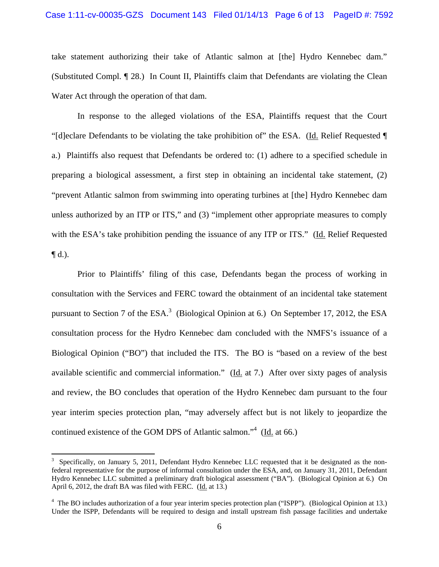### Case 1:11-cv-00035-GZS Document 143 Filed 01/14/13 Page 6 of 13 PageID #: 7592

take statement authorizing their take of Atlantic salmon at [the] Hydro Kennebec dam." (Substituted Compl. ¶ 28.) In Count II, Plaintiffs claim that Defendants are violating the Clean Water Act through the operation of that dam.

In response to the alleged violations of the ESA, Plaintiffs request that the Court "[d]eclare Defendants to be violating the take prohibition of" the ESA. (Id. Relief Requested ¶ a.) Plaintiffs also request that Defendants be ordered to: (1) adhere to a specified schedule in preparing a biological assessment, a first step in obtaining an incidental take statement, (2) "prevent Atlantic salmon from swimming into operating turbines at [the] Hydro Kennebec dam unless authorized by an ITP or ITS," and (3) "implement other appropriate measures to comply with the ESA's take prohibition pending the issuance of any ITP or ITS." (Id. Relief Requested  $\P$ d.).

 Prior to Plaintiffs' filing of this case, Defendants began the process of working in consultation with the Services and FERC toward the obtainment of an incidental take statement pursuant to Section 7 of the  $ESA^3$  (Biological Opinion at 6.) On September 17, 2012, the ESA consultation process for the Hydro Kennebec dam concluded with the NMFS's issuance of a Biological Opinion ("BO") that included the ITS. The BO is "based on a review of the best available scientific and commercial information." (Id. at 7.) After over sixty pages of analysis and review, the BO concludes that operation of the Hydro Kennebec dam pursuant to the four year interim species protection plan, "may adversely affect but is not likely to jeopardize the continued existence of the GOM DPS of Atlantic salmon."<sup>4</sup> (Id. at 66.)

 $3$  Specifically, on January 5, 2011, Defendant Hydro Kennebec LLC requested that it be designated as the nonfederal representative for the purpose of informal consultation under the ESA, and, on January 31, 2011, Defendant Hydro Kennebec LLC submitted a preliminary draft biological assessment ("BA"). (Biological Opinion at 6.) On April 6, 2012, the draft BA was filed with FERC. (Id. at 13.)

<sup>&</sup>lt;sup>4</sup> The BO includes authorization of a four year interim species protection plan ("ISPP"). (Biological Opinion at 13.) Under the ISPP, Defendants will be required to design and install upstream fish passage facilities and undertake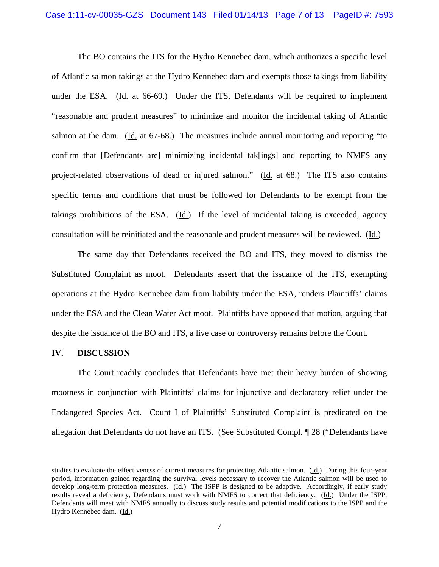## Case 1:11-cv-00035-GZS Document 143 Filed 01/14/13 Page 7 of 13 PageID #: 7593

The BO contains the ITS for the Hydro Kennebec dam, which authorizes a specific level of Atlantic salmon takings at the Hydro Kennebec dam and exempts those takings from liability under the ESA. (Id. at 66-69.) Under the ITS, Defendants will be required to implement "reasonable and prudent measures" to minimize and monitor the incidental taking of Atlantic salmon at the dam. (Id. at 67-68.) The measures include annual monitoring and reporting "to confirm that [Defendants are] minimizing incidental tak[ings] and reporting to NMFS any project-related observations of dead or injured salmon." (Id. at 68.) The ITS also contains specific terms and conditions that must be followed for Defendants to be exempt from the takings prohibitions of the ESA. (Id.) If the level of incidental taking is exceeded, agency consultation will be reinitiated and the reasonable and prudent measures will be reviewed. (Id.)

 The same day that Defendants received the BO and ITS, they moved to dismiss the Substituted Complaint as moot. Defendants assert that the issuance of the ITS, exempting operations at the Hydro Kennebec dam from liability under the ESA, renders Plaintiffs' claims under the ESA and the Clean Water Act moot. Plaintiffs have opposed that motion, arguing that despite the issuance of the BO and ITS, a live case or controversy remains before the Court.

#### **IV. DISCUSSION**

 The Court readily concludes that Defendants have met their heavy burden of showing mootness in conjunction with Plaintiffs' claims for injunctive and declaratory relief under the Endangered Species Act. Count I of Plaintiffs' Substituted Complaint is predicated on the allegation that Defendants do not have an ITS. (See Substituted Compl. ¶ 28 ("Defendants have

<u> 1989 - Johann Stein, marwolaethau a gweledydd a ganlad y ganlad y ganlad y ganlad y ganlad y ganlad y ganlad</u>

studies to evaluate the effectiveness of current measures for protecting Atlantic salmon. (Id.) During this four-year period, information gained regarding the survival levels necessary to recover the Atlantic salmon will be used to develop long-term protection measures.  $(\underline{Id})$  The ISPP is designed to be adaptive. Accordingly, if early study results reveal a deficiency, Defendants must work with NMFS to correct that deficiency. (Id.) Under the ISPP, Defendants will meet with NMFS annually to discuss study results and potential modifications to the ISPP and the Hydro Kennebec dam. (Id.)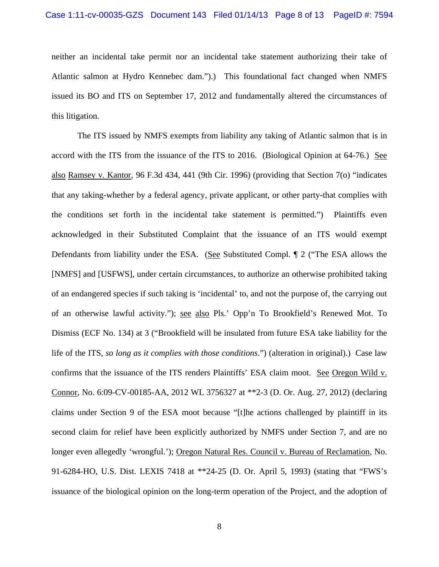neither an incidental take permit nor an incidental take statement authorizing their take of Atlantic salmon at Hydro Kennebec dam.").) This foundational fact changed when NMFS issued its BO and ITS on September 17, 2012 and fundamentally altered the circumstances of this litigation.

The ITS issued by NMFS exempts from liability any taking of Atlantic salmon that is in accord with the ITS from the issuance of the ITS to 2016. (Biological Opinion at 64-76.) See also Ramsey v. Kantor, 96 F.3d 434, 441 (9th Cir. 1996) (providing that Section 7(o) "indicates that any taking-whether by a federal agency, private applicant, or other party-that complies with the conditions set forth in the incidental take statement is permitted.") Plaintiffs even acknowledged in their Substituted Complaint that the issuance of an ITS would exempt Defendants from liability under the ESA. (See Substituted Compl. ¶ 2 ("The ESA allows the [NMFS] and [USFWS], under certain circumstances, to authorize an otherwise prohibited taking of an endangered species if such taking is 'incidental' to, and not the purpose of, the carrying out of an otherwise lawful activity."); see also Pls.' Opp'n To Brookfield's Renewed Mot. To Dismiss (ECF No. 134) at 3 ("Brookfield will be insulated from future ESA take liability for the life of the ITS, *so long as it complies with those conditions*.") (alteration in original).) Case law confirms that the issuance of the ITS renders Plaintiffs' ESA claim moot. See Oregon Wild v. Connor, No. 6:09-CV-00185-AA, 2012 WL 3756327 at \*\*2-3 (D. Or. Aug. 27, 2012) (declaring claims under Section 9 of the ESA moot because "[t]he actions challenged by plaintiff in its second claim for relief have been explicitly authorized by NMFS under Section 7, and are no longer even allegedly 'wrongful.'); Oregon Natural Res. Council v. Bureau of Reclamation, No. 91-6284-HO, U.S. Dist. LEXIS 7418 at \*\*24-25 (D. Or. April 5, 1993) (stating that "FWS's issuance of the biological opinion on the long-term operation of the Project, and the adoption of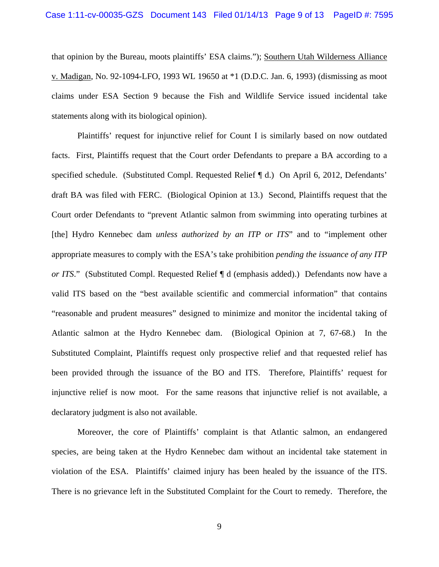that opinion by the Bureau, moots plaintiffs' ESA claims."); Southern Utah Wilderness Alliance v. Madigan, No. 92-1094-LFO, 1993 WL 19650 at \*1 (D.D.C. Jan. 6, 1993) (dismissing as moot claims under ESA Section 9 because the Fish and Wildlife Service issued incidental take statements along with its biological opinion).

 Plaintiffs' request for injunctive relief for Count I is similarly based on now outdated facts. First, Plaintiffs request that the Court order Defendants to prepare a BA according to a specified schedule. (Substituted Compl. Requested Relief ¶ d.) On April 6, 2012, Defendants' draft BA was filed with FERC. (Biological Opinion at 13.) Second, Plaintiffs request that the Court order Defendants to "prevent Atlantic salmon from swimming into operating turbines at [the] Hydro Kennebec dam *unless authorized by an ITP or ITS*" and to "implement other appropriate measures to comply with the ESA's take prohibition *pending the issuance of any ITP or ITS*." (Substituted Compl. Requested Relief ¶ d (emphasis added).) Defendants now have a valid ITS based on the "best available scientific and commercial information" that contains "reasonable and prudent measures" designed to minimize and monitor the incidental taking of Atlantic salmon at the Hydro Kennebec dam. (Biological Opinion at 7, 67-68.) In the Substituted Complaint, Plaintiffs request only prospective relief and that requested relief has been provided through the issuance of the BO and ITS. Therefore, Plaintiffs' request for injunctive relief is now moot. For the same reasons that injunctive relief is not available, a declaratory judgment is also not available.

 Moreover, the core of Plaintiffs' complaint is that Atlantic salmon, an endangered species, are being taken at the Hydro Kennebec dam without an incidental take statement in violation of the ESA. Plaintiffs' claimed injury has been healed by the issuance of the ITS. There is no grievance left in the Substituted Complaint for the Court to remedy. Therefore, the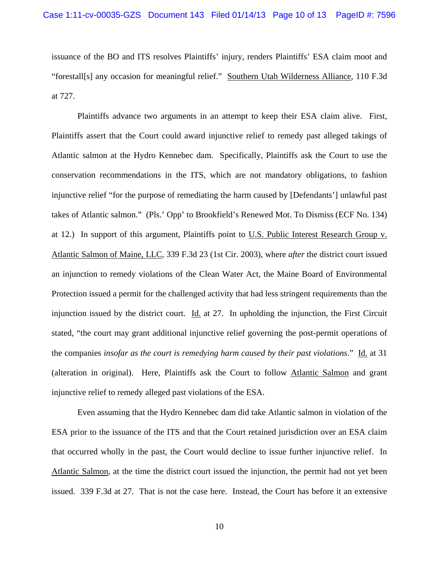issuance of the BO and ITS resolves Plaintiffs' injury, renders Plaintiffs' ESA claim moot and "forestall[s] any occasion for meaningful relief." Southern Utah Wilderness Alliance, 110 F.3d at 727.

 Plaintiffs advance two arguments in an attempt to keep their ESA claim alive. First, Plaintiffs assert that the Court could award injunctive relief to remedy past alleged takings of Atlantic salmon at the Hydro Kennebec dam. Specifically, Plaintiffs ask the Court to use the conservation recommendations in the ITS, which are not mandatory obligations, to fashion injunctive relief "for the purpose of remediating the harm caused by [Defendants'] unlawful past takes of Atlantic salmon." (Pls.' Opp' to Brookfield's Renewed Mot. To Dismiss (ECF No. 134) at 12.) In support of this argument, Plaintiffs point to U.S. Public Interest Research Group v. Atlantic Salmon of Maine, LLC, 339 F.3d 23 (1st Cir. 2003), where *after* the district court issued an injunction to remedy violations of the Clean Water Act, the Maine Board of Environmental Protection issued a permit for the challenged activity that had less stringent requirements than the injunction issued by the district court.  $\underline{Id}$  at 27. In upholding the injunction, the First Circuit stated, "the court may grant additional injunctive relief governing the post-permit operations of the companies *insofar as the court is remedying harm caused by their past violations*." Id. at 31 (alteration in original). Here, Plaintiffs ask the Court to follow Atlantic Salmon and grant injunctive relief to remedy alleged past violations of the ESA.

 Even assuming that the Hydro Kennebec dam did take Atlantic salmon in violation of the ESA prior to the issuance of the ITS and that the Court retained jurisdiction over an ESA claim that occurred wholly in the past, the Court would decline to issue further injunctive relief. In Atlantic Salmon, at the time the district court issued the injunction, the permit had not yet been issued. 339 F.3d at 27. That is not the case here. Instead, the Court has before it an extensive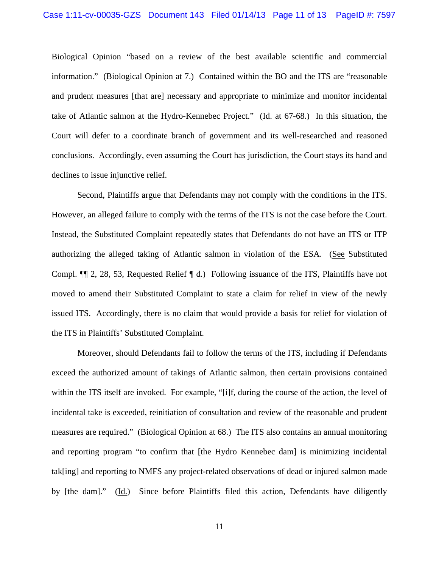Biological Opinion "based on a review of the best available scientific and commercial information." (Biological Opinion at 7.) Contained within the BO and the ITS are "reasonable and prudent measures [that are] necessary and appropriate to minimize and monitor incidental take of Atlantic salmon at the Hydro-Kennebec Project." (Id. at 67-68.) In this situation, the Court will defer to a coordinate branch of government and its well-researched and reasoned conclusions. Accordingly, even assuming the Court has jurisdiction, the Court stays its hand and declines to issue injunctive relief.

 Second, Plaintiffs argue that Defendants may not comply with the conditions in the ITS. However, an alleged failure to comply with the terms of the ITS is not the case before the Court. Instead, the Substituted Complaint repeatedly states that Defendants do not have an ITS or ITP authorizing the alleged taking of Atlantic salmon in violation of the ESA. (See Substituted Compl. ¶¶ 2, 28, 53, Requested Relief ¶ d.) Following issuance of the ITS, Plaintiffs have not moved to amend their Substituted Complaint to state a claim for relief in view of the newly issued ITS. Accordingly, there is no claim that would provide a basis for relief for violation of the ITS in Plaintiffs' Substituted Complaint.

 Moreover, should Defendants fail to follow the terms of the ITS, including if Defendants exceed the authorized amount of takings of Atlantic salmon, then certain provisions contained within the ITS itself are invoked. For example, "[i]f, during the course of the action, the level of incidental take is exceeded, reinitiation of consultation and review of the reasonable and prudent measures are required." (Biological Opinion at 68.) The ITS also contains an annual monitoring and reporting program "to confirm that [the Hydro Kennebec dam] is minimizing incidental tak[ing] and reporting to NMFS any project-related observations of dead or injured salmon made by [the dam]." (Id.) Since before Plaintiffs filed this action, Defendants have diligently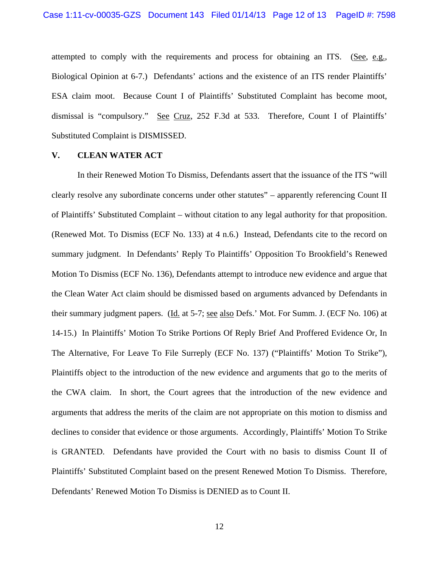attempted to comply with the requirements and process for obtaining an ITS. (See, e.g., Biological Opinion at 6-7.) Defendants' actions and the existence of an ITS render Plaintiffs' ESA claim moot. Because Count I of Plaintiffs' Substituted Complaint has become moot, dismissal is "compulsory." See Cruz, 252 F.3d at 533. Therefore, Count I of Plaintiffs' Substituted Complaint is DISMISSED.

### **V. CLEAN WATER ACT**

 In their Renewed Motion To Dismiss, Defendants assert that the issuance of the ITS "will clearly resolve any subordinate concerns under other statutes" – apparently referencing Count II of Plaintiffs' Substituted Complaint – without citation to any legal authority for that proposition. (Renewed Mot. To Dismiss (ECF No. 133) at 4 n.6.) Instead, Defendants cite to the record on summary judgment. In Defendants' Reply To Plaintiffs' Opposition To Brookfield's Renewed Motion To Dismiss (ECF No. 136), Defendants attempt to introduce new evidence and argue that the Clean Water Act claim should be dismissed based on arguments advanced by Defendants in their summary judgment papers. (Id. at 5-7; see also Defs.' Mot. For Summ. J. (ECF No. 106) at 14-15.) In Plaintiffs' Motion To Strike Portions Of Reply Brief And Proffered Evidence Or, In The Alternative, For Leave To File Surreply (ECF No. 137) ("Plaintiffs' Motion To Strike"), Plaintiffs object to the introduction of the new evidence and arguments that go to the merits of the CWA claim. In short, the Court agrees that the introduction of the new evidence and arguments that address the merits of the claim are not appropriate on this motion to dismiss and declines to consider that evidence or those arguments. Accordingly, Plaintiffs' Motion To Strike is GRANTED. Defendants have provided the Court with no basis to dismiss Count II of Plaintiffs' Substituted Complaint based on the present Renewed Motion To Dismiss. Therefore, Defendants' Renewed Motion To Dismiss is DENIED as to Count II.